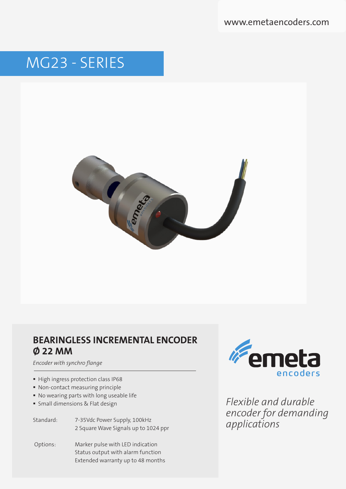www.emetaencoders.com

# MG23 - SERIES



## **BEARINGLESS INCREMENTAL ENCODER Ø 22 MM**

*Encoder with synchro flange*

- High ingress protection class IP68
- Non-contact measuring principle
- No wearing parts with long useable life
- **Small dimensions & Flat design**
- Standard: 7-35Vdc Power Supply, 100kHz 2 Square Wave Signals up to 1024 ppr
- Options: Marker pulse with LED indication Status output with alarm function Extended warranty up to 48 months



*Flexible and durable encoder for demanding applications*